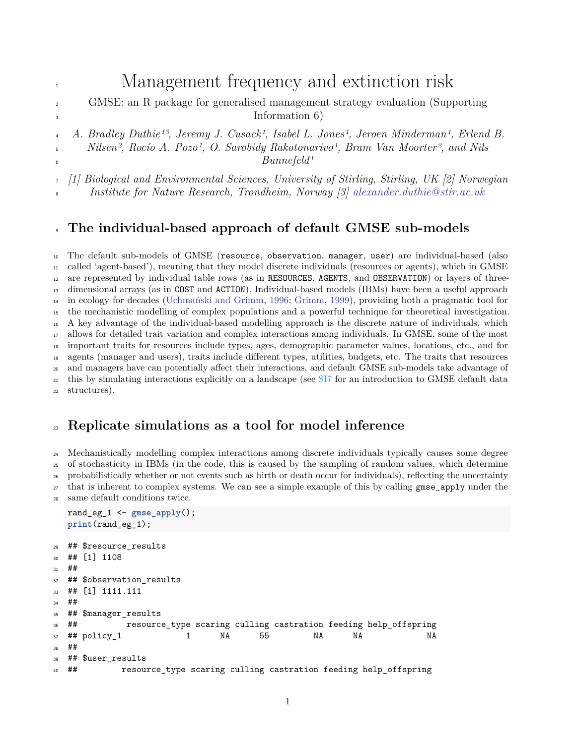## 1 Management frequency and extinction risk

 GMSE: an R package for generalised management strategy evaluation (Supporting <sup>3</sup> Information 6)

 *A. Bradley Duthie13, Jeremy J. Cusack1, Isabel L. Jones1, Jeroen Minderman1, Erlend B.* <sup>5</sup> *Nilsen<sup>2</sup>, Rocío A. Pozo<sup>1</sup>, O. Sarobidy Rakotonarivo<sup>1</sup>, Bram Van Moorter<sup>2</sup>, and Nils Bunnefeld1*

*[1] Biological and Environmental Sciences, University of Stirling, Stirling, UK [2] Norwegian*

*Institute for Nature Research, Trondheim, Norway [3] [alexander.duthie@stir.ac.uk](mailto:alexander.duthie@stir.ac.uk)*

## **The individual-based approach of default GMSE sub-models**

 The default sub-models of GMSE (resource, observation, manager, user) are individual-based (also called 'agent-based'), meaning that they model discrete individuals (resources or agents), which in GMSE are represented by individual table rows (as in RESOURCES, AGENTS, and OBSERVATION) or layers of three- dimensional arrays (as in COST and ACTION). Individual-based models (IBMs) have been a useful approach in ecology for decades [\(Uchmański and Grimm,](#page-6-0) [1996;](#page-6-0) [Grimm,](#page-6-1) [1999\)](#page-6-1), providing both a pragmatic tool for the mechanistic modelling of complex populations and a powerful technique for theoretical investigation. A key advantage of the individual-based modelling approach is the discrete nature of individuals, which allows for detailed trait variation and complex interactions among individuals. In GMSE, some of the most important traits for resources include types, ages, demographic parameter values, locations, etc., and for agents (manager and users), traits include different types, utilities, budgets, etc. The traits that resources and managers have can potentially affect their interactions, and default GMSE sub-models take advantage of <sup>21</sup> this by simulating interactions explicitly on a landscape (see SI7 for an introduction to GMSE default data structures).

## **Replicate simulations as a tool for model inference**

 Mechanistically modelling complex interactions among discrete individuals typically causes some degree of stochasticity in IBMs (in the code, this is caused by the sampling of random values, which determine probabilistically whether or not events such as birth or death occur for individuals), reflecting the uncertainty <sup>27</sup> that is inherent to complex systems. We can see a simple example of this by calling gmse apply under the same default conditions twice.

```
rand eg 1 \leq - gmse apply();
  print(rand_eg_1);
29 ## $resource_results
30 ## [1] 1108
31 ##
32 ## $observation results
33 ## [1] 1111.111
34 ##
35 ## $manager_results
36 ## resource_type scaring culling castration feeding help_offspring
37 ## policy_1 1 NA 55 NA NA NA
38 ##
39 ## $user_results
40 ## resource type scaring culling castration feeding help offspring
```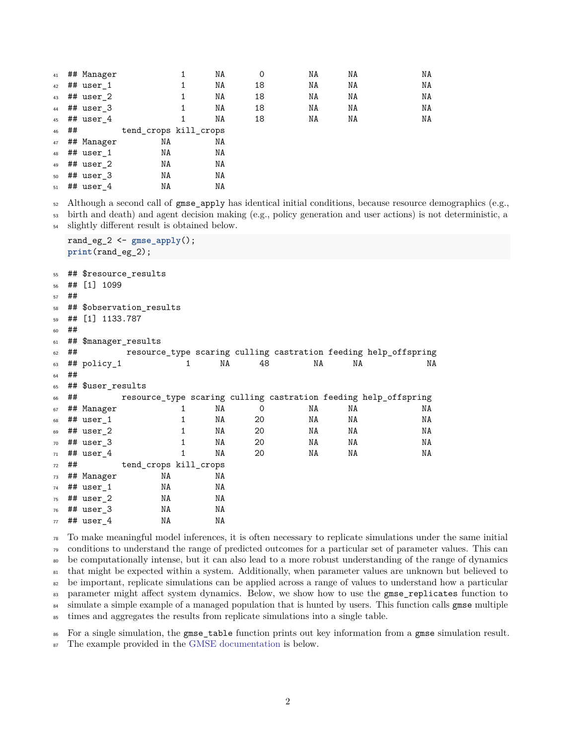|    |    | 41 ## Manager  |                       | ΝA | 0  | NA | NA | NA |
|----|----|----------------|-----------------------|----|----|----|----|----|
| 42 |    | ## user 1      |                       | ΝA | 18 | ΝA | ΝA | ΝA |
| 43 |    | $#$ # user 2   |                       | NA | 18 | NA | ΝA | ΝA |
|    |    | $44$ ## user 3 |                       | NA | 18 | NA | NA | ΝA |
| 45 |    | $#$ # user 4   |                       | ΝA | 18 | ΝA | ΝA | NA |
| 46 | ## |                | tend_crops kill_crops |    |    |    |    |    |
| 47 |    | ## Manager     | NA                    | ΝA |    |    |    |    |
| 48 |    | $#$ # user 1   | NA                    | ΝA |    |    |    |    |
| 49 |    | ## user 2      | NA                    | ΝA |    |    |    |    |
| 50 |    | ## user 3      | NA                    | ΝA |    |    |    |    |
| 51 |    | $#$ # user 4   | ΝA                    | ΝA |    |    |    |    |

Although a second call of gmse\_apply has identical initial conditions, because resource demographics (e.g.,

 birth and death) and agent decision making (e.g., policy generation and user actions) is not deterministic, a slightly different result is obtained below.

```
rand_eg_2 <- gmse_apply();
  print(rand_eg_2);
55 ## $resource_results
56 ## [1] 1099
57 ##
58 ## $observation results
59 ## [1] 1133.787
60 ##
61 ## $manager_results
62 ## resource_type scaring culling castration feeding help_offspring
63 ## policy_1 1 NA 48 NA NA NA
64 ##
65 ## $user_results
66 ## resource_type scaring culling castration feeding help_offspring
67 ## Manager 1 NA 0 NA NA NA
68 ## user_1 1 NA 20 NA NA NA
69 ## user_2 1 NA 20 NA NA NA
70 ## user_3 1 NA 20 NA NA NA
\sigma_1 ## user_4 1 NA 20 NA NA NA
72 ## tend_crops kill_crops
73 ## Manager NA NA
74 ## user 1 NA NA
75 ## user_2 NA NA
76 ## user_3 NA NA
77 ## user 4 NA NA
```
 To make meaningful model inferences, it is often necessary to replicate simulations under the same initial conditions to understand the range of predicted outcomes for a particular set of parameter values. This can be computationally intense, but it can also lead to a more robust understanding of the range of dynamics that might be expected within a system. Additionally, when parameter values are unknown but believed to <sup>82</sup> be important, replicate simulations can be applied across a range of values to understand how a particular 83 parameter might affect system dynamics. Below, we show how to use the gmse\_replicates function to <sup>84</sup> simulate a simple example of a managed population that is hunted by users. This function calls gmse multiple times and aggregates the results from replicate simulations into a single table.

For a single simulation, the gmse\_table function prints out key information from a gmse simulation result.

The example provided in the [GMSE documentation](https://cran.r-project.org/package=GMSE) is below.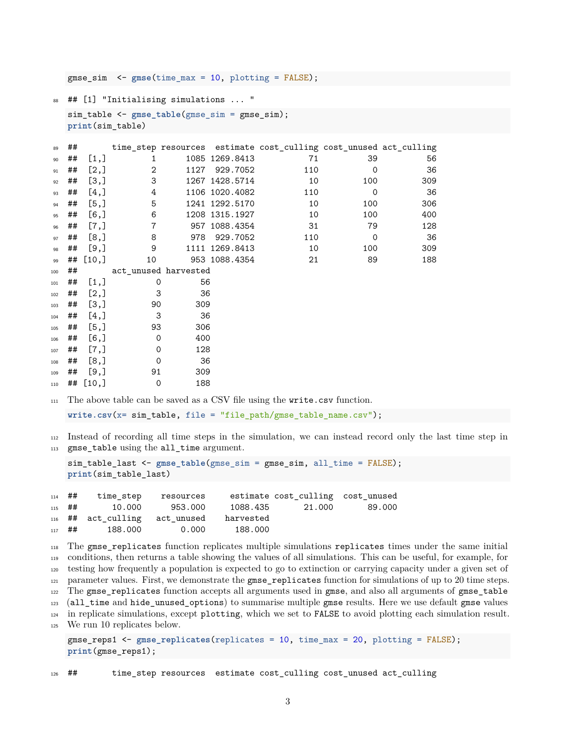gmse\_sim <- **gmse**(time\_max = 10, plotting = FALSE);

## [1] "Initialising simulations ... "

```
sim_table <- gmse_table(gmse_sim = gmse_sim);
print(sim_table)
```

| 89  | ## |             |                      |      |                | time_step resources estimate cost_culling cost_unused act_culling |             |     |
|-----|----|-------------|----------------------|------|----------------|-------------------------------------------------------------------|-------------|-----|
| 90  | ## | [1,]        | 1                    |      | 1085 1269.8413 | 71                                                                | 39          | 56  |
| 91  | ## | [2,]        | 2                    | 1127 | 929.7052       | 110                                                               | $\Omega$    | 36  |
| 92  | ## | [3,]        | 3                    |      | 1267 1428.5714 | 10                                                                | 100         | 309 |
| 93  | ## | $[4,$ ]     | 4                    |      | 1106 1020.4082 | 110                                                               | $\mathbf 0$ | 36  |
| 94  | ## | [5,]        | 5                    |      | 1241 1292.5170 | 10                                                                | 100         | 306 |
| 95  | ## | [6, 1]      | 6                    |      | 1208 1315.1927 | 10                                                                | 100         | 400 |
| 96  | ## | $[7,$ ]     | $\overline{7}$       |      | 957 1088.4354  | 31                                                                | 79          | 128 |
| 97  | ## | [8,]        | 8                    | 978  | 929.7052       | 110                                                               | $\mathbf 0$ | 36  |
| 98  | ## | [9,]        | 9                    |      | 1111 1269.8413 | 10                                                                | 100         | 309 |
| 99  |    | ## [10,]    | 10                   |      | 953 1088.4354  | 21                                                                | 89          | 188 |
| 100 | ## |             | act unused harvested |      |                |                                                                   |             |     |
| 101 | ## | [1,]        | 0                    | 56   |                |                                                                   |             |     |
| 102 | ## | [2,]        | 3                    | 36   |                |                                                                   |             |     |
| 103 | ## | [3,]        | 90                   | 309  |                |                                                                   |             |     |
| 104 | ## | [4,]        | 3                    | 36   |                |                                                                   |             |     |
| 105 | ## | [5,]        | 93                   | 306  |                |                                                                   |             |     |
| 106 | ## | [6,         | 0                    | 400  |                |                                                                   |             |     |
| 107 | ## | $[7,$ ]     | $\mathbf 0$          | 128  |                |                                                                   |             |     |
| 108 | ## | [8,]        | $\mathbf 0$          | 36   |                |                                                                   |             |     |
| 109 | ## | [9,]        | 91                   | 309  |                |                                                                   |             |     |
| 110 |    | ## $[10, ]$ | 0                    | 188  |                |                                                                   |             |     |

The above table can be saved as a CSV file using the write.csv function.

**write.csv**(x= sim\_table, file = "file\_path/gmse\_table\_name.csv");

 Instead of recording all time steps in the simulation, we can instead record only the last time step in gmse\_table using the all\_time argument.

```
sim_table_last <- gmse_table(gmse_sim = gmse_sim, all_time = FALSE);
print(sim_table_last)
```

| $114$ ## | time step                               | resources |         | estimate cost culling cost unused |        |
|----------|-----------------------------------------|-----------|---------|-----------------------------------|--------|
|          | $115$ ## 10.000                         | 953.000   |         | 1088.435 21.000                   | 89.000 |
|          | 116 ## act culling act unused harvested |           |         |                                   |        |
|          | $_{117}$ ## 188.000                     | 0.000     | 188.000 |                                   |        |

 The gmse\_replicates function replicates multiple simulations replicates times under the same initial conditions, then returns a table showing the values of all simulations. This can be useful, for example, for testing how frequently a population is expected to go to extinction or carrying capacity under a given set of parameter values. First, we demonstrate the gmse replicates function for simulations of up to 20 time steps. The gmse\_replicates function accepts all arguments used in gmse, and also all arguments of gmse\_table (all\_time and hide\_unused\_options) to summarise multiple gmse results. Here we use default gmse values in replicate simulations, except plotting, which we set to FALSE to avoid plotting each simulation result. We run 10 replicates below.

```
gmse_reps1 <- gmse_replicates(replicates = 10, time_max = 20, plotting = FALSE);
print(gmse_reps1);
```
## time\_step resources estimate cost\_culling cost\_unused act\_culling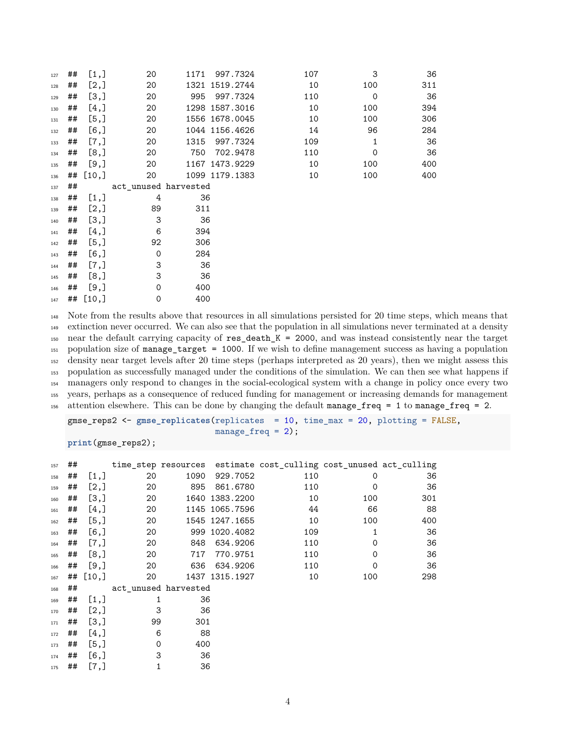| 127 | ## | [1,]        | 20                   | 1171 | 997.7324       | 107 | 3            | 36  |
|-----|----|-------------|----------------------|------|----------------|-----|--------------|-----|
| 128 | ## | [2,]        | 20                   |      | 1321 1519.2744 | 10  | 100          | 311 |
| 129 | ## | [3,]        | 20                   | 995  | 997.7324       | 110 | $\mathbf 0$  | 36  |
| 130 | ## | [4,]        | 20                   |      | 1298 1587.3016 | 10  | 100          | 394 |
| 131 | ## | [5,]        | 20                   |      | 1556 1678.0045 | 10  | 100          | 306 |
| 132 | ## | [6,         | 20                   |      | 1044 1156.4626 | 14  | 96           | 284 |
| 133 | ## | [7,]        | 20                   | 1315 | 997.7324       | 109 | $\mathbf{1}$ | 36  |
| 134 | ## | [8,]        | 20                   | 750  | 702.9478       | 110 | $\mathbf 0$  | 36  |
| 135 | ## | [9,]        | 20                   |      | 1167 1473.9229 | 10  | 100          | 400 |
| 136 | ## | [10,]       | 20                   |      | 1099 1179.1383 | 10  | 100          | 400 |
| 137 | ## |             | act unused harvested |      |                |     |              |     |
| 138 | ## | [1,]        | 4                    | 36   |                |     |              |     |
| 139 | ## | [2,]        | 89                   | 311  |                |     |              |     |
| 140 | ## | [3,]        | 3                    | 36   |                |     |              |     |
| 141 | ## | [4,]        | 6                    | 394  |                |     |              |     |
| 142 | ## | [5,]        | 92                   | 306  |                |     |              |     |
| 143 | ## | $[6,$ ]     | $\mathbf 0$          | 284  |                |     |              |     |
| 144 | ## | [7,]        | 3                    | 36   |                |     |              |     |
| 145 | ## | [8,]        | 3                    | 36   |                |     |              |     |
| 146 | ## | [9,]        | 0                    | 400  |                |     |              |     |
| 147 |    | ## $[10, ]$ | $\mathbf 0$          | 400  |                |     |              |     |

 Note from the results above that resources in all simulations persisted for 20 time steps, which means that extinction never occurred. We can also see that the population in all simulations never terminated at a density near the default carrying capacity of res\_death\_K = 2000, and was instead consistently near the target population size of manage\_target = 1000. If we wish to define management success as having a population density near target levels after 20 time steps (perhaps interpreted as 20 years), then we might assess this population as successfully managed under the conditions of the simulation. We can then see what happens if managers only respond to changes in the social-ecological system with a change in policy once every two years, perhaps as a consequence of reduced funding for management or increasing demands for management attention elsewhere. This can be done by changing the default manage\_freq = 1 to manage\_freq = 2.

gmse\_reps2 <- **gmse\_replicates**(replicates = 10, time\_max = 20, plotting = FALSE, manage\_freq = 2);

```
print(gmse_reps2);
```

| 157 | ## |         |                      |      |                | time_step resources estimate cost_culling cost_unused act_culling |             |     |
|-----|----|---------|----------------------|------|----------------|-------------------------------------------------------------------|-------------|-----|
| 158 | ## | [1,]    | 20                   | 1090 | 929.7052       | 110                                                               | 0           | 36  |
| 159 | ## | [2,]    | 20                   | 895  | 861.6780       | 110                                                               | 0           | 36  |
| 160 | ## | [3,]    | 20                   |      | 1640 1383.2200 | 10                                                                | 100         | 301 |
| 161 | ## | $[4,$ ] | 20                   |      | 1145 1065.7596 | 44                                                                | 66          | 88  |
| 162 | ## | [5,]    | 20                   |      | 1545 1247.1655 | 10                                                                | 100         | 400 |
| 163 | ## | [6,     | 20                   |      | 999 1020.4082  | 109                                                               | 1           | 36  |
| 164 | ## | [7,]    | 20                   | 848  | 634.9206       | 110                                                               | $\mathbf 0$ | 36  |
| 165 | ## | [8,]    | 20                   | 717  | 770.9751       | 110                                                               | 0           | 36  |
| 166 | ## | [9,]    | 20                   | 636  | 634.9206       | 110                                                               | $\mathbf 0$ | 36  |
| 167 | ## | [10,    | 20                   |      | 1437 1315.1927 | 10                                                                | 100         | 298 |
| 168 | ## |         | act unused harvested |      |                |                                                                   |             |     |
| 169 | ## | [1,]    | 1                    | 36   |                |                                                                   |             |     |
| 170 | ## | [2,]    | 3                    | 36   |                |                                                                   |             |     |
| 171 | ## | [3,]    | 99                   | 301  |                |                                                                   |             |     |
| 172 | ## | [4,]    | 6                    | 88   |                |                                                                   |             |     |
| 173 | ## | [5,]    | $\mathbf 0$          | 400  |                |                                                                   |             |     |
| 174 | ## | [6,     | 3                    | 36   |                |                                                                   |             |     |
| 175 | ## | $[7,$ ] | 1                    | 36   |                |                                                                   |             |     |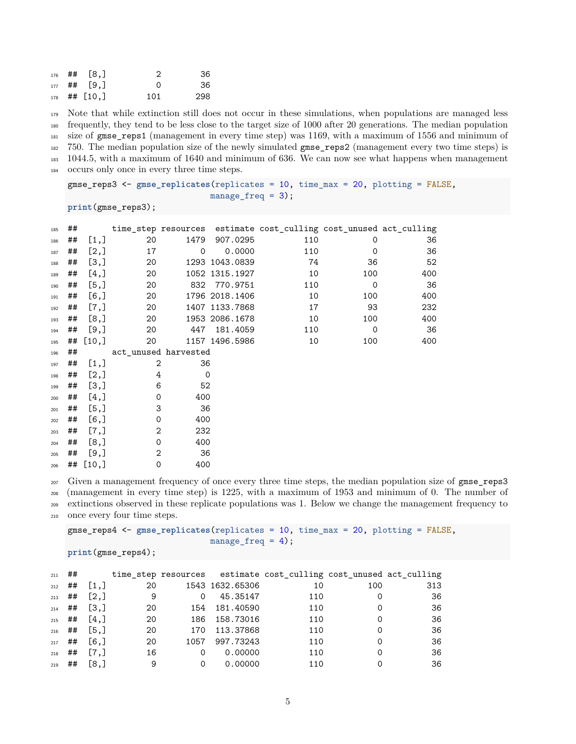|  | $176$ ## [8,]  | - 2      | .36 |
|--|----------------|----------|-----|
|  | $177$ ## [9.]  | $\Omega$ | .36 |
|  | $178$ ## [10,] | 101      | 298 |

 Note that while extinction still does not occur in these simulations, when populations are managed less frequently, they tend to be less close to the target size of 1000 after 20 generations. The median population size of gmse reps1 (management in every time step) was 1169, with a maximum of 1556 and minimum of 750. The median population size of the newly simulated gmse\_reps2 (management every two time steps) is 1044.5, with a maximum of 1640 and minimum of 636. We can now see what happens when management occurs only once in every three time steps.

gmse\_reps3 <- **gmse\_replicates**(replicates = 10, time\_max = 20, plotting = FALSE,  $mange\_freq = 3$ ;

**print**(gmse\_reps3);

| 185 | ## |         |                      |             |                | time_step resources estimate cost_culling cost_unused act_culling |             |     |
|-----|----|---------|----------------------|-------------|----------------|-------------------------------------------------------------------|-------------|-----|
| 186 | ## | [1,]    | 20                   | 1479        | 907.0295       | 110                                                               | 0           | 36  |
| 187 | ## | [2,]    | 17                   | $\mathbf 0$ | 0.0000         | 110                                                               | $\mathbf 0$ | 36  |
| 188 | ## | [3,]    | 20                   |             | 1293 1043.0839 | 74                                                                | 36          | 52  |
| 189 | ## | [4,]    | 20                   |             | 1052 1315.1927 | 10                                                                | 100         | 400 |
| 190 | ## | [5,]    | 20                   | 832         | 770.9751       | 110                                                               | $\mathbf 0$ | 36  |
| 191 | ## | [6, 1]  | 20                   |             | 1796 2018.1406 | 10                                                                | 100         | 400 |
| 192 | ## | [7,]    | 20                   |             | 1407 1133.7868 | 17                                                                | 93          | 232 |
| 193 | ## | [8,]    | 20                   |             | 1953 2086.1678 | 10                                                                | 100         | 400 |
| 194 | ## | [9,]    | 20                   | 447         | 181.4059       | 110                                                               | $\mathbf 0$ | 36  |
| 195 | ## | [10,]   | 20                   |             | 1157 1496.5986 | 10                                                                | 100         | 400 |
| 196 | ## |         | act unused harvested |             |                |                                                                   |             |     |
| 197 | ## | [1,]    | 2                    | 36          |                |                                                                   |             |     |
| 198 | ## | [2,]    | 4                    | $\mathbf 0$ |                |                                                                   |             |     |
| 199 | ## | [3,]    | 6                    | 52          |                |                                                                   |             |     |
| 200 | ## | [4,]    | $\Omega$             | 400         |                |                                                                   |             |     |
| 201 | ## | [5,]    | 3                    | 36          |                |                                                                   |             |     |
| 202 | ## | [6,]    | 0                    | 400         |                |                                                                   |             |     |
| 203 | ## | $[7,$ ] | 2                    | 232         |                |                                                                   |             |     |
| 204 | ## | [8,]    | $\Omega$             | 400         |                |                                                                   |             |     |
| 205 | ## | [9,]    | 2                    | 36          |                |                                                                   |             |     |
| 206 | ## | [10,]   | $\mathbf 0$          | 400         |                |                                                                   |             |     |

<sup>207</sup> Given a management frequency of once every three time steps, the median population size of gmse\_reps3 (management in every time step) is 1225, with a maximum of 1953 and minimum of 0. The number of extinctions observed in these replicate populations was 1. Below we change the management frequency to

once every four time steps.

```
gmse_reps4 <- gmse_replicates(replicates = 10, time_max = 20, plotting = FALSE,
                             manage_freq = 4);
```

```
print(gmse_reps4);
```

| 211      | ## |                    |    |          |                 | time_step resources estimate cost_culling cost_unused act_culling |          |     |
|----------|----|--------------------|----|----------|-----------------|-------------------------------------------------------------------|----------|-----|
| 212      | ## | [1,]               | 20 |          | 1543 1632.65306 | 10                                                                | 100      | 313 |
| 213      | ## | [2,]               | 9  | $\Omega$ | 45.35147        | 110                                                               |          | 36  |
| 214      | ## | $\left[3, \right]$ | 20 |          | 154 181.40590   | 110                                                               | $\Omega$ | 36  |
| $215$ ## |    | [4,]               | 20 | 186      | 158.73016       | 110                                                               |          | 36  |
| 216      | ## | [5.1]              | 20 | 170      | 113.37868       | 110                                                               | 0        | 36  |
| $217$ ## |    | [6.]               | 20 | 1057     | 997.73243       | 110                                                               | 0        | 36  |
| 218      | ## | $\lceil 7, \rceil$ | 16 | $\Omega$ | 0.00000         | 110                                                               | 0        | 36  |
| 219      | ## | [8,]               | 9  | 0        | 0.00000         | 110                                                               |          | 36  |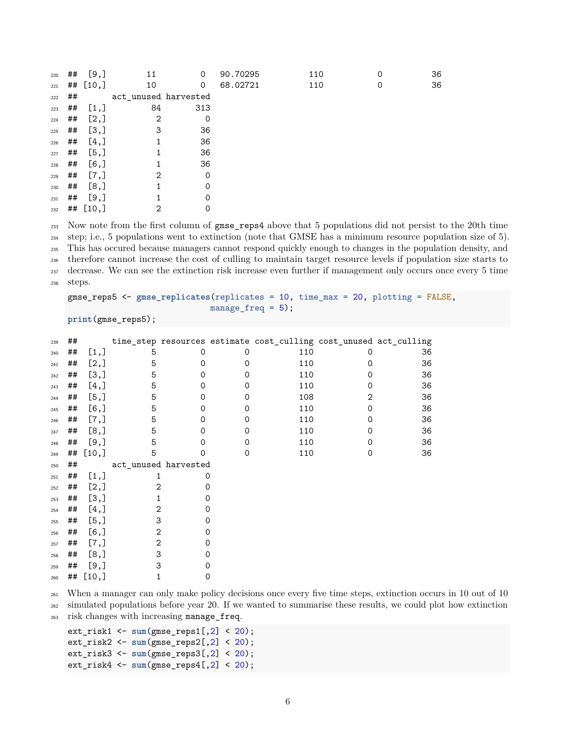| 220 | ## | [9,]        | 11                   | 0        | 90.70295 | 110 | 0 | 36 |
|-----|----|-------------|----------------------|----------|----------|-----|---|----|
| 221 |    | ## $[10, ]$ | 10                   | 0        | 68.02721 | 110 | 0 | 36 |
| 222 | ## |             | act_unused harvested |          |          |     |   |    |
| 223 | ## | [1,]        | 84                   | 313      |          |     |   |    |
| 224 | ## | [2,]        | 2                    | $\Omega$ |          |     |   |    |
| 225 | ## | [3,]        | 3                    | 36       |          |     |   |    |
| 226 | ## | [4,]        | 1                    | 36       |          |     |   |    |
| 227 | ## | [5,]        |                      | 36       |          |     |   |    |
| 228 | ## | [6,         | 1                    | 36       |          |     |   |    |
| 229 | ## | [7,]        | $\overline{2}$       | $\Omega$ |          |     |   |    |
| 230 | ## | [8,]        | 1                    | $\Omega$ |          |     |   |    |
| 231 | ## | [9,]        |                      | $\Omega$ |          |     |   |    |
| 232 |    | ## $[10, ]$ | 2                    | 0        |          |     |   |    |

 Now note from the first column of gmse\_reps4 above that 5 populations did not persist to the 20th time step; i.e., 5 populations went to extinction (note that GMSE has a minimum resource population size of 5). This has occured because managers cannot respond quickly enough to changes in the population density, and therefore cannot increase the cost of culling to maintain target resource levels if population size starts to decrease. We can see the extinction risk increase even further if management only occurs once every 5 time steps.

```
gmse_reps5 <- gmse_replicates(replicates = 10, time_max = 20, plotting = FALSE,
                             manage_freq = 5);
```

```
print(gmse_reps5);
```

| 239 | ## |         |                |                      |             | time_step resources estimate cost_culling cost_unused act_culling |             |    |
|-----|----|---------|----------------|----------------------|-------------|-------------------------------------------------------------------|-------------|----|
| 240 | ## | [1,]    | 5              | $\Omega$             | 0           | 110                                                               | $\Omega$    | 36 |
| 241 | ## | [2,]    | 5              | 0                    | 0           | 110                                                               | 0           | 36 |
| 242 | ## | [3,]    | 5              | 0                    | 0           | 110                                                               | 0           | 36 |
| 243 | ## | [4,]    | 5              | $\Omega$             | 0           | 110                                                               | 0           | 36 |
| 244 | ## | [5,]    | 5              | 0                    | 0           | 108                                                               | 2           | 36 |
| 245 | ## | $[6,$ ] | 5              | 0                    | 0           | 110                                                               | 0           | 36 |
| 246 | ## | [7,]    | 5              | 0                    | 0           | 110                                                               | 0           | 36 |
| 247 | ## | [8,]    | 5              | $\Omega$             | 0           | 110                                                               | 0           | 36 |
| 248 | ## | $[9,$ ] | 5              | Ω                    | 0           | 110                                                               | $\mathbf 0$ | 36 |
| 249 | ## | [10,]   | 5              | 0                    | $\mathbf 0$ | 110                                                               | 0           | 36 |
| 250 | ## |         |                | act_unused harvested |             |                                                                   |             |    |
| 251 | ## | $[1,]$  | 1              |                      | $\Omega$    |                                                                   |             |    |
| 252 | ## | [2,]    | 2              |                      | $\Omega$    |                                                                   |             |    |
| 253 | ## | [3,]    | 1              |                      | 0           |                                                                   |             |    |
| 254 | ## | $[4,$ ] | 2              |                      | $\Omega$    |                                                                   |             |    |
| 255 | ## | [5,]    | 3              |                      | 0           |                                                                   |             |    |
| 256 | ## | $[6,$ ] | $\overline{2}$ |                      | $\Omega$    |                                                                   |             |    |
| 257 | ## | [7,]    | 2              |                      | 0           |                                                                   |             |    |
| 258 | ## | [8,]    | 3              |                      | 0           |                                                                   |             |    |
| 259 | ## | $[9,$ ] | 3              |                      | Ω           |                                                                   |             |    |
| 260 | ## | [10.]   |                |                      | 0           |                                                                   |             |    |

When a manager can only make policy decisions once every five time steps, extinction occurs in 10 out of 10

 simulated populations before year 20. If we wanted to summarise these results, we could plot how extinction risk changes with increasing manage\_freq.

```
ext_risk1 <- sum(gmse_reps1[,2] < 20);
ext_risk2 <- sum(gmse_reps2[,2] < 20);
ext_risk3 <- sum(gmse_reps3[,2] < 20);
ext_risk4 <- sum(gmse_reps4[,2] < 20);
```